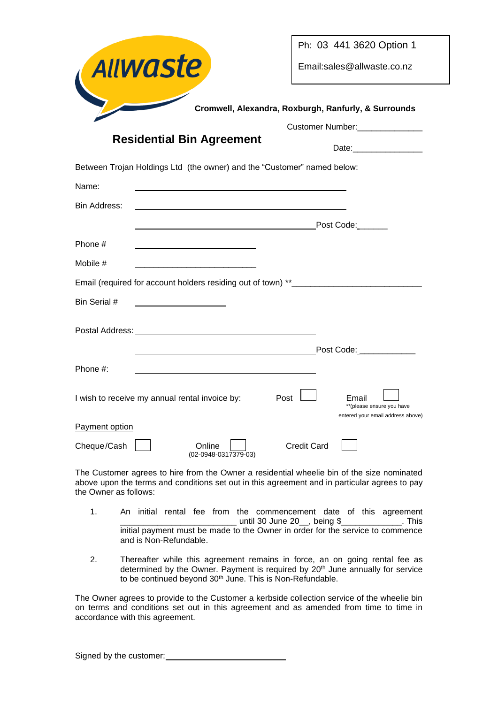| Allwaste                                                                                                             | Ph: 03 441 3620 Option 1                                                           |  |  |  |  |
|----------------------------------------------------------------------------------------------------------------------|------------------------------------------------------------------------------------|--|--|--|--|
|                                                                                                                      | Email:sales@allwaste.co.nz                                                         |  |  |  |  |
|                                                                                                                      | Cromwell, Alexandra, Roxburgh, Ranfurly, & Surrounds                               |  |  |  |  |
| Customer Number: ______________                                                                                      |                                                                                    |  |  |  |  |
| <b>Residential Bin Agreement</b>                                                                                     |                                                                                    |  |  |  |  |
| Between Trojan Holdings Ltd (the owner) and the "Customer" named below:                                              |                                                                                    |  |  |  |  |
| Name:                                                                                                                |                                                                                    |  |  |  |  |
| Bin Address:                                                                                                         |                                                                                    |  |  |  |  |
|                                                                                                                      |                                                                                    |  |  |  |  |
| Phone #                                                                                                              |                                                                                    |  |  |  |  |
| Mobile #                                                                                                             |                                                                                    |  |  |  |  |
| Email (required for account holders residing out of town) **____________________                                     |                                                                                    |  |  |  |  |
| Bin Serial #                                                                                                         |                                                                                    |  |  |  |  |
|                                                                                                                      |                                                                                    |  |  |  |  |
| Postal Address: <u>New York Barners and Theory and Theory and Theory and Theory and Theory and Theory and Theory</u> |                                                                                    |  |  |  |  |
|                                                                                                                      |                                                                                    |  |  |  |  |
| Phone #:                                                                                                             |                                                                                    |  |  |  |  |
| I wish to receive my annual rental invoice by:                                                                       | Post  <br>Email<br>** (please ensure you have<br>entered your email address above) |  |  |  |  |
| Payment option                                                                                                       |                                                                                    |  |  |  |  |
| Cheque/Cash<br>Online<br>(02-0948-0317379-03)                                                                        | <b>Credit Card</b>                                                                 |  |  |  |  |

The Customer agrees to hire from the Owner a residential wheelie bin of the size nominated above upon the terms and conditions set out in this agreement and in particular agrees to pay the Owner as follows:

- 1. An initial rental fee from the commencement date of this agreement \_\_\_\_\_\_\_\_\_\_\_\_\_\_\_\_\_\_\_\_\_\_\_\_\_\_\_\_\_\_ until 30 June 20\_\_, being \$\_\_\_\_\_\_\_\_\_\_\_\_\_. This initial payment must be made to the Owner in order for the service to commence and is Non-Refundable.
- 2. Thereafter while this agreement remains in force, an on going rental fee as determined by the Owner. Payment is required by 20<sup>th</sup> June annually for service to be continued beyond 30<sup>th</sup> June. This is Non-Refundable.

The Owner agrees to provide to the Customer a kerbside collection service of the wheelie bin on terms and conditions set out in this agreement and as amended from time to time in accordance with this agreement.

|  |  |  | Signed by the customer: |  |
|--|--|--|-------------------------|--|
|--|--|--|-------------------------|--|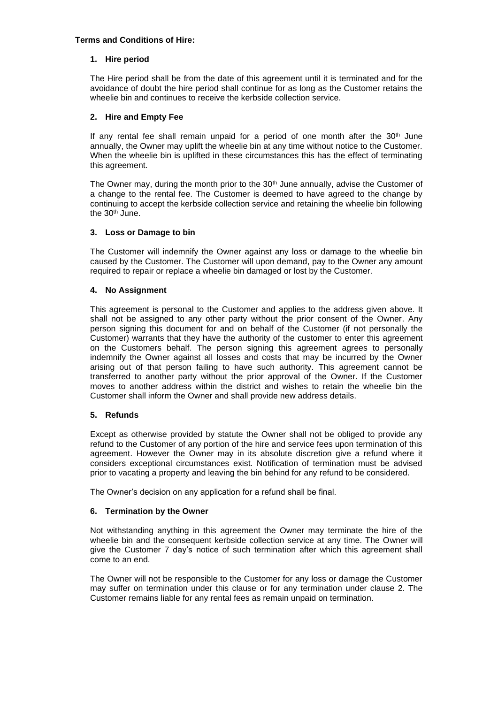## **Terms and Conditions of Hire:**

### **1. Hire period**

The Hire period shall be from the date of this agreement until it is terminated and for the avoidance of doubt the hire period shall continue for as long as the Customer retains the wheelie bin and continues to receive the kerbside collection service.

### **2. Hire and Empty Fee**

If any rental fee shall remain unpaid for a period of one month after the  $30<sup>th</sup>$  June annually, the Owner may uplift the wheelie bin at any time without notice to the Customer. When the wheelie bin is uplifted in these circumstances this has the effect of terminating this agreement.

The Owner may, during the month prior to the 30<sup>th</sup> June annually, advise the Customer of a change to the rental fee. The Customer is deemed to have agreed to the change by continuing to accept the kerbside collection service and retaining the wheelie bin following the 30<sup>th</sup> June.

### **3. Loss or Damage to bin**

The Customer will indemnify the Owner against any loss or damage to the wheelie bin caused by the Customer. The Customer will upon demand, pay to the Owner any amount required to repair or replace a wheelie bin damaged or lost by the Customer.

### **4. No Assignment**

This agreement is personal to the Customer and applies to the address given above. It shall not be assigned to any other party without the prior consent of the Owner. Any person signing this document for and on behalf of the Customer (if not personally the Customer) warrants that they have the authority of the customer to enter this agreement on the Customers behalf. The person signing this agreement agrees to personally indemnify the Owner against all losses and costs that may be incurred by the Owner arising out of that person failing to have such authority. This agreement cannot be transferred to another party without the prior approval of the Owner. If the Customer moves to another address within the district and wishes to retain the wheelie bin the Customer shall inform the Owner and shall provide new address details.

#### **5. Refunds**

Except as otherwise provided by statute the Owner shall not be obliged to provide any refund to the Customer of any portion of the hire and service fees upon termination of this agreement. However the Owner may in its absolute discretion give a refund where it considers exceptional circumstances exist. Notification of termination must be advised prior to vacating a property and leaving the bin behind for any refund to be considered.

The Owner's decision on any application for a refund shall be final.

## **6. Termination by the Owner**

Not withstanding anything in this agreement the Owner may terminate the hire of the wheelie bin and the consequent kerbside collection service at any time. The Owner will give the Customer 7 day's notice of such termination after which this agreement shall come to an end.

The Owner will not be responsible to the Customer for any loss or damage the Customer may suffer on termination under this clause or for any termination under clause 2. The Customer remains liable for any rental fees as remain unpaid on termination.